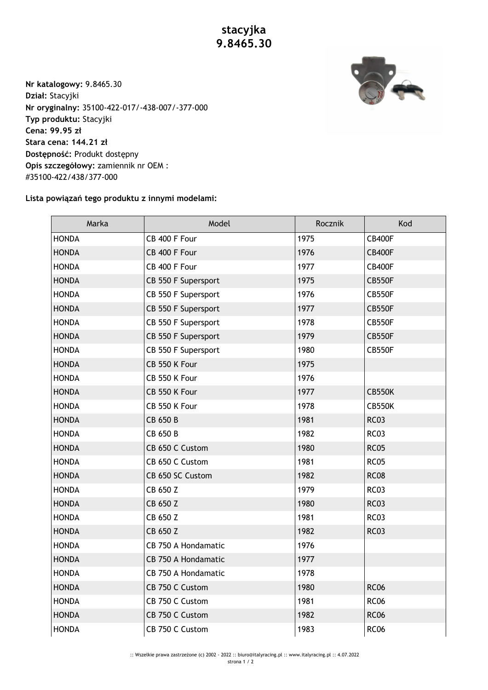**stacyjka 9.8465.30**



**Nr katalogowy:** 9.8465.30 **Dział:** Stacyjki **Nr oryginalny:** 35100-422-017/-438-007/-377-000 **Typ produktu:** Stacyjki **Cena: 99.95 zł Stara cena: 144.21 zł Dostępność:** Produkt dostępny **Opis szczegółowy:** zamiennik nr OEM : #35100-422/438/377-000

## **Lista powiązań tego produktu z innymi modelami:**

| Marka        | Model               | Rocznik | Kod           |
|--------------|---------------------|---------|---------------|
| <b>HONDA</b> | CB 400 F Four       | 1975    | <b>CB400F</b> |
| <b>HONDA</b> | CB 400 F Four       | 1976    | <b>CB400F</b> |
| <b>HONDA</b> | CB 400 F Four       | 1977    | <b>CB400F</b> |
| <b>HONDA</b> | CB 550 F Supersport | 1975    | <b>CB550F</b> |
| <b>HONDA</b> | CB 550 F Supersport | 1976    | <b>CB550F</b> |
| <b>HONDA</b> | CB 550 F Supersport | 1977    | <b>CB550F</b> |
| <b>HONDA</b> | CB 550 F Supersport | 1978    | <b>CB550F</b> |
| <b>HONDA</b> | CB 550 F Supersport | 1979    | <b>CB550F</b> |
| <b>HONDA</b> | CB 550 F Supersport | 1980    | <b>CB550F</b> |
| <b>HONDA</b> | CB 550 K Four       | 1975    |               |
| <b>HONDA</b> | CB 550 K Four       | 1976    |               |
| <b>HONDA</b> | CB 550 K Four       | 1977    | <b>CB550K</b> |
| <b>HONDA</b> | CB 550 K Four       | 1978    | <b>CB550K</b> |
| <b>HONDA</b> | CB 650 B            | 1981    | <b>RC03</b>   |
| <b>HONDA</b> | CB 650 B            | 1982    | <b>RC03</b>   |
| <b>HONDA</b> | CB 650 C Custom     | 1980    | <b>RC05</b>   |
| <b>HONDA</b> | CB 650 C Custom     | 1981    | <b>RC05</b>   |
| <b>HONDA</b> | CB 650 SC Custom    | 1982    | <b>RC08</b>   |
| <b>HONDA</b> | CB 650 Z            | 1979    | <b>RC03</b>   |
| <b>HONDA</b> | CB 650 Z            | 1980    | <b>RC03</b>   |
| <b>HONDA</b> | CB 650 Z            | 1981    | <b>RC03</b>   |
| <b>HONDA</b> | CB 650 Z            | 1982    | <b>RC03</b>   |
| <b>HONDA</b> | CB 750 A Hondamatic | 1976    |               |
| <b>HONDA</b> | CB 750 A Hondamatic | 1977    |               |
| <b>HONDA</b> | CB 750 A Hondamatic | 1978    |               |
| <b>HONDA</b> | CB 750 C Custom     | 1980    | <b>RC06</b>   |
| <b>HONDA</b> | CB 750 C Custom     | 1981    | <b>RC06</b>   |
| <b>HONDA</b> | CB 750 C Custom     | 1982    | <b>RC06</b>   |
| <b>HONDA</b> | CB 750 C Custom     | 1983    | <b>RC06</b>   |